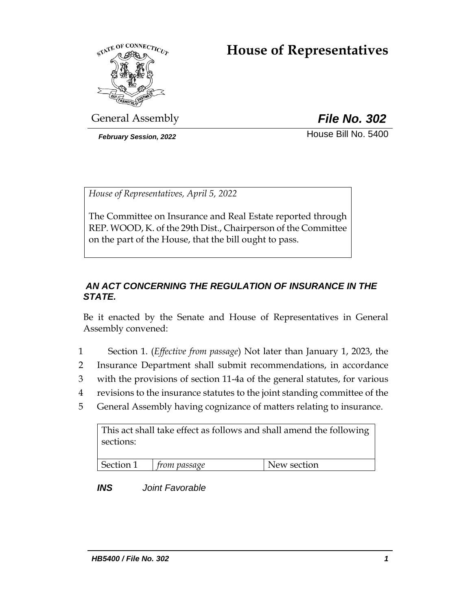# **House of Representatives**



General Assembly *File No. 302*

**February Session, 2022 House Bill No. 5400** 

*House of Representatives, April 5, 2022*

The Committee on Insurance and Real Estate reported through REP. WOOD, K. of the 29th Dist., Chairperson of the Committee on the part of the House, that the bill ought to pass.

## *AN ACT CONCERNING THE REGULATION OF INSURANCE IN THE STATE.*

Be it enacted by the Senate and House of Representatives in General Assembly convened:

- 1 Section 1. (*Effective from passage*) Not later than January 1, 2023, the
- 2 Insurance Department shall submit recommendations, in accordance
- 3 with the provisions of section 11-4a of the general statutes, for various
- 4 revisions to the insurance statutes to the joint standing committee of the
- 5 General Assembly having cognizance of matters relating to insurance.

| This act shall take effect as follows and shall amend the following |                          |             |
|---------------------------------------------------------------------|--------------------------|-------------|
| sections:                                                           |                          |             |
|                                                                     |                          |             |
|                                                                     |                          |             |
|                                                                     | Section 1   from passage | New section |

*INS Joint Favorable*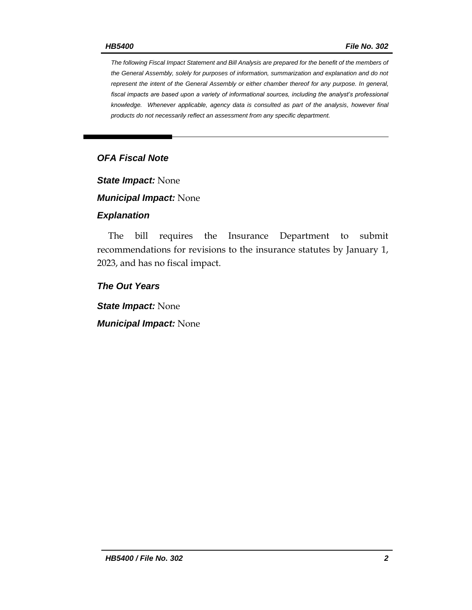*The following Fiscal Impact Statement and Bill Analysis are prepared for the benefit of the members of the General Assembly, solely for purposes of information, summarization and explanation and do not represent the intent of the General Assembly or either chamber thereof for any purpose. In general, fiscal impacts are based upon a variety of informational sources, including the analyst's professional knowledge. Whenever applicable, agency data is consulted as part of the analysis, however final products do not necessarily reflect an assessment from any specific department.*

## *OFA Fiscal Note*

*State Impact:* None

*Municipal Impact:* None

#### *Explanation*

The bill requires the Insurance Department to submit recommendations for revisions to the insurance statutes by January 1, 2023, and has no fiscal impact.

#### *The Out Years*

*State Impact:* None

*Municipal Impact:* None